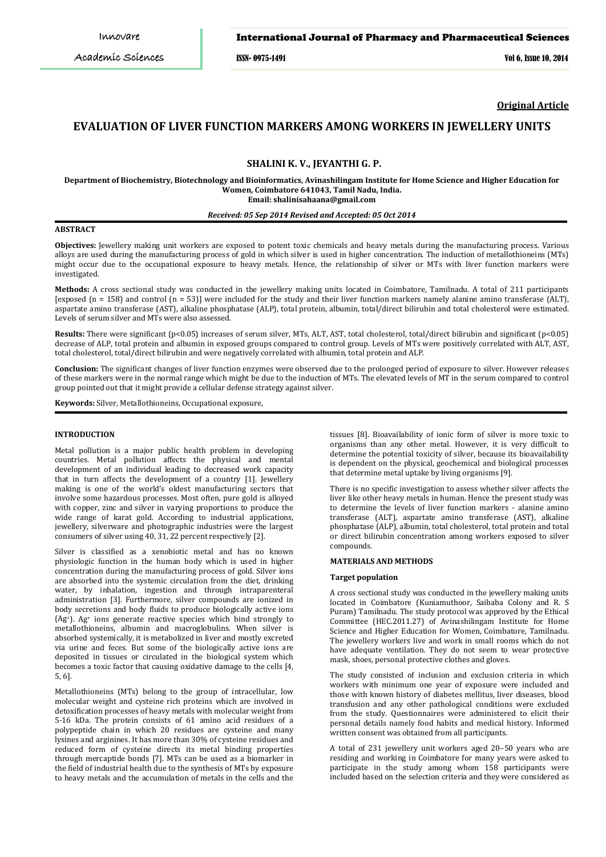# International Journal of Pharmacy and Pharmaceutical Sciences

ISSN- 0975-1491 Vol 6, Issue 10, 2014

**Original Article**

# **EVALUATION OF LIVER FUNCTION MARKERS AMONG WORKERS IN JEWELLERY UNITS**

# **SHALINI K. V., JEYANTHI G. P.**

**Department of Biochemistry, Biotechnology and Bioinformatics, Avinashilingam Institute for Home Science and Higher Education for Women, Coimbatore 641043, Tamil Nadu, India. Email: shalinisahaana@gmail.com**

## *Received: 05 Sep 2014 Revised and Accepted: 05 Oct 2014*

# **ABSTRACT**

**Objectives:** Jewellery making unit workers are exposed to potent toxic chemicals and heavy metals during the manufacturing process. Various alloys are used during the manufacturing process of gold in which silver is used in higher concentration. The induction of metallothioneins (MTs) might occur due to the occupational exposure to heavy metals. Hence, the relationship of silver or MTs with liver function markers were investigated.

**Methods:** A cross sectional study was conducted in the jewellery making units located in Coimbatore, Tamilnadu. A total of 211 participants [exposed (n = 158) and control (n = 53)] were included for the study and their liver function markers namely alanine amino transferase (ALT), aspartate amino transferase (AST), alkaline phosphatase (ALP), total protein, albumin, total/direct bilirubin and total cholesterol were estimated. Levels of serum silver and MTs were also assessed.

**Results:** There were significant (p<0.05) increases of serum silver, MTs, ALT, AST, total cholesterol, total/direct bilirubin and significant (p<0.05) decrease of ALP, total protein and albumin in exposed groups compared to control group. Levels of MTs were positively correlated with ALT, AST, total cholesterol, total/direct bilirubin and were negatively correlated with albumin, total protein and ALP.

**Conclusion:** The significant changes of liver function enzymes were observed due to the prolonged period of exposure to silver. However releases of these markers were in the normal range which might be due to the induction of MTs. The elevated levels of MT in the serum compared to control group pointed out that it might provide a cellular defense strategy against silver.

**Keywords:** Silver, Metallothioneins, Occupational exposure,

### **INTRODUCTION**

Metal pollution is a major public health problem in developing countries. Metal pollution affects the physical and mental development of an individual leading to decreased work capacity that in turn affects the development of a country [1]. Jewellery making is one of the world's oldest manufacturing sectors that involve some hazardous processes. Most often, pure gold is alloyed with copper, zinc and silver in varying proportions to produce the wide range of karat gold. According to industrial applications, jewellery, silverware and photographic industries were the largest consumers of silver using 40, 31, 22 percent respectively [2].

Silver is classified as a xenobiotic metal and has no known physiologic function in the human body which is used in higher concentration during the manufacturing process of gold. Silver ions are absorbed into the systemic circulation from the diet, drinking water, by inhalation, ingestion and through intraparenteral administration [3]. Furthermore, silver compounds are ionized in body secretions and body fluids to produce biologically active ions (Ag+). Ag+ ions generate reactive species which bind strongly to metallothioneins, albumin and macroglobulins. When silver is absorbed systemically, it is metabolized in liver and mostly excreted via urine and feces. But some of the biologically active ions are deposited in tissues or circulated in the biological system which becomes a toxic factor that causing oxidative damage to the cells [4, 5, 6].

Metallothioneins (MTs) belong to the group of intracellular, low molecular weight and cysteine rich proteins which are involved in detoxification processes of heavy metals with molecular weight from 5-16 kDa. The protein consists of 61 amino acid residues of a polypeptide chain in which 20 residues are cysteine and many lysines and arginines. It has more than 30% of cysteine residues and reduced form of cysteine directs its metal binding properties through mercaptide bonds [7]. MTs can be used as a biomarker in the field of industrial health due to the synthesis of MTs by exposure to heavy metals and the accumulation of metals in the cells and the

tissues [8]. Bioavailability of ionic form of silver is more toxic to organisms than any other metal. However, it is very difficult to determine the potential toxicity of silver, because its bioavailability is dependent on the physical, geochemical and biological processes that determine metal uptake by living organisms [9].

There is no specific investigation to assess whether silver affects the liver like other heavy metals in human. Hence the present study was to determine the levels of liver function markers - alanine amino transferase (ALT), aspartate amino transferase (AST), alkaline phosphatase (ALP), albumin, total cholesterol, total protein and total or direct bilirubin concentration among workers exposed to silver compounds.

# **MATERIALS AND METHODS**

#### **Target population**

A cross sectional study was conducted in the jewellery making units located in Coimbatore (Kuniamuthoor, Saibaba Colony and R. S Puram) Tamilnadu. The study protocol was approved by the Ethical Committee (HEC.2011.27) of Avinashilingam Institute for Home Science and Higher Education for Women, Coimbatore, Tamilnadu. The jewellery workers live and work in small rooms which do not have adequate ventilation. They do not seem to wear protective mask, shoes, personal protective clothes and gloves.

The study consisted of inclusion and exclusion criteria in which workers with minimum one year of exposure were included and those with known history of diabetes mellitus, liver diseases, blood transfusion and any other pathological conditions were excluded from the study. Questionnaires were administered to elicit their personal details namely food habits and medical history. Informed written consent was obtained from all participants.

A total of 231 jewellery unit workers aged 20–50 years who are residing and working in Coimbatore for many years were asked to participate in the study among whom 158 participants were included based on the selection criteria and they were considered as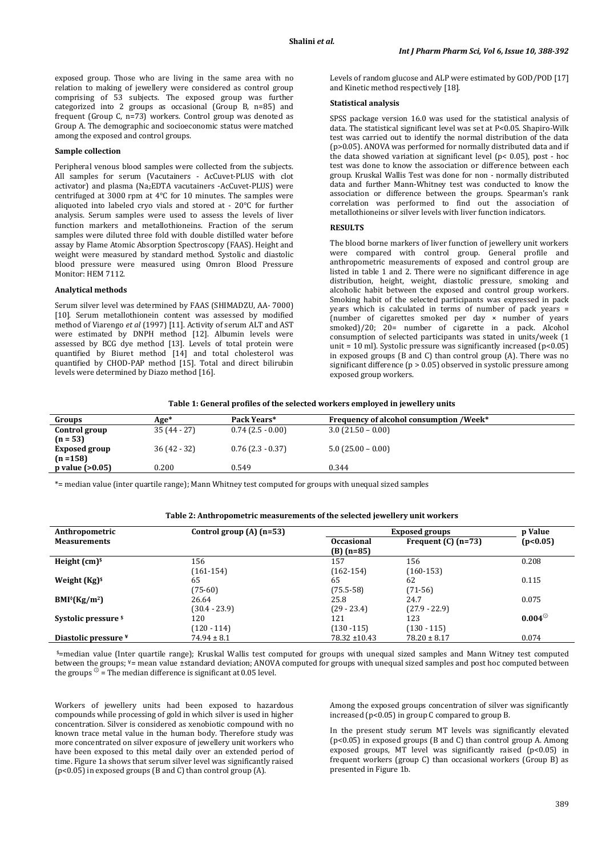exposed group. Those who are living in the same area with no relation to making of jewellery were considered as control group comprising of 53 subjects. The exposed group was further categorized into 2 groups as occasional (Group B, n=85) and frequent (Group C, n=73) workers. Control group was denoted as Group A. The demographic and socioeconomic status were matched among the exposed and control groups.

# **Sample collection**

Peripheral venous blood samples were collected from the subjects. All samples for serum (Vacutainers - AcCuvet-PLUS with clot activator) and plasma (Na2EDTA vacutainers -AcCuvet-PLUS) were centrifuged at 3000 rpm at 4°C for 10 minutes. The samples were aliquoted into labeled cryo vials and stored at - 20°C for further analysis. Serum samples were used to assess the levels of liver function markers and metallothioneins. Fraction of the serum samples were diluted three fold with double distilled water before assay by Flame Atomic Absorption Spectroscopy (FAAS). Height and weight were measured by standard method. Systolic and diastolic blood pressure were measured using Omron Blood Pressure Monitor: HEM 7112 .

#### **Analytical methods**

Serum silver level was determined by FAAS (SHIMADZU, AA- 7000) [10]. Serum metallothionein content was assessed by modified method of Viarengo *et al* (1997) [11]. Activity of serum ALT and AST were estimated by DNPH method [12]. Albumin levels were assessed by BCG dye method [13]. Levels of total protein were quantified by Biuret method [14] and total cholesterol was quantified by CHOD-PAP method [15]. Total and direct bilirubin levels were determined by Diazo method [16].

Levels of random glucose and ALP were estimated by GOD/POD [17] and Kinetic method respectively [18].

## **Statistical analysis**

SPSS package version 16.0 was used for the statistical analysis of data. The statistical significant level was set at P<0.05. Shapiro-Wilk test was carried out to identify the normal distribution of the data (p>0.05). ANOVA was performed for normally distributed data and if the data showed variation at significant level (p< 0.05), post - hoc test was done to know the association or difference between each group. Kruskal Wallis Test was done for non - normally distributed data and further Mann-Whitney test was conducted to know the association or difference between the groups. Spearman's rank correlation was performed to find out the association of metallothioneins or silver levels with liver function indicators.

#### **RESULTS**

The blood borne markers of liver function of jewellery unit workers were compared with control group. General profile and anthropometric measurements of exposed and control group are listed in table 1 and 2. There were no significant difference in age distribution, height, weight, diastolic pressure, smoking and alcoholic habit between the exposed and control group workers. Smoking habit of the selected participants was expressed in pack years which is calculated in terms of number of pack years = (number of cigarettes smoked per day × number of years smoked)/20; 20= number of cigarette in a pack. Alcohol consumption of selected participants was stated in units/week (1 unit =  $10$  ml). Systolic pressure was significantly increased ( $p$ <0.05) in exposed groups (B and C) than control group (A). There was no significant difference (p > 0.05) observed in systolic pressure among exposed group workers.

#### **Table 1: General profiles of the selected workers employed in jewellery units**

| Groups              | Age*        | Pack Years*         | <b>Frequency of alcohol consumption /Week*</b> |  |
|---------------------|-------------|---------------------|------------------------------------------------|--|
| Control group       | $35(44-27)$ | $0.74(2.5-0.00)$    | $3.0(21.50 - 0.00)$                            |  |
| $(n = 53)$          |             |                     |                                                |  |
| Exposed group       | $36(42-32)$ | $0.76$ (2.3 - 0.37) | $5.0$ (25.00 – 0.00)                           |  |
| $(n = 158)$         |             |                     |                                                |  |
| $p$ value $(>0.05)$ | 0.200       | 0.549               | 0.344                                          |  |
|                     |             |                     |                                                |  |

\*= median value (inter quartile range); Mann Whitney test computed for groups with unequal sized samples

| Anthropometric       | Control group $(A)$ (n=53) | <b>Exposed groups</b>             | p Value               |               |
|----------------------|----------------------------|-----------------------------------|-----------------------|---------------|
| <b>Measurements</b>  |                            | <b>Occasional</b><br>$(B)$ (n=85) | Frequent $(C)$ (n=73) | (p<0.05)      |
| Height $(cm)5$       | 156                        | 157                               | 156                   | 0.208         |
|                      | $(161-154)$                | $(162-154)$                       | $(160-153)$           |               |
| Weight $(Kg)^s$      | 65                         | 65                                | 62                    | 0.115         |
|                      | $(75-60)$                  | $(75.5-58)$                       | $(71-56)$             |               |
| $BMl^{0}(Kg/m^{2})$  | 26.64                      | 25.8                              | 24.7                  | 0.075         |
|                      | (30.4 - 23.9)              | $(29 - 23.4)$                     | $(27.9 - 22.9)$       |               |
| Systolic pressure \$ | 120                        | 121                               | 123                   | $0.004^\circ$ |
|                      | $(120 - 114)$              | $(130 - 115)$                     | $(130 - 115)$         |               |
| Diastolic pressure ¥ | $74.94 \pm 8.1$            | 78.32 ±10.43                      | $78.20 \pm 8.17$      | 0.074         |

\$=median value (Inter quartile range); Kruskal Wallis test computed for groups with unequal sized samples and Mann Witney test computed between the groups; ¥= mean value ±standard deviation; ANOVA computed for groups with unequal sized samples and post hoc computed between the groups  $\mathcal{D}$  = The median difference is significant at 0.05 level.

Workers of jewellery units had been exposed to hazardous compounds while processing of gold in which silver is used in higher concentration. Silver is considered as xenobiotic compound with no known trace metal value in the human body. Therefore study was more concentrated on silver exposure of jewellery unit workers who have been exposed to this metal daily over an extended period of time. Figure 1a shows that serum silver level was significantly raised (p<0.05) in exposed groups (B and C) than control group (A).

Among the exposed groups concentration of silver was significantly increased (p<0.05) in group C compared to group B.

In the present study serum MT levels was significantly elevated (p<0.05) in exposed groups (B and C) than control group A. Among exposed groups, MT level was significantly raised (p<0.05) in frequent workers (group C) than occasional workers (Group B) as presented in Figure 1b.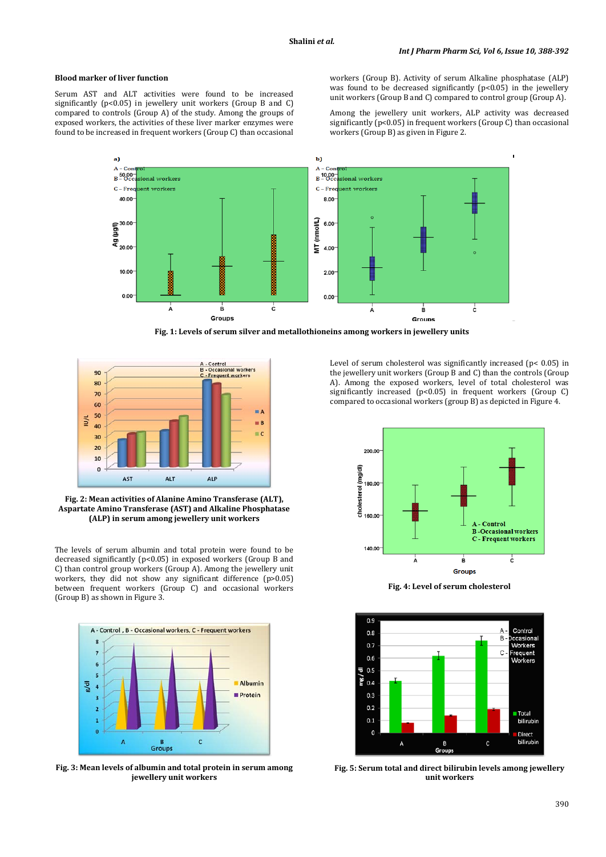# **Blood marker of liver function**

Serum AST and ALT activities were found to be increased significantly (p<0.05) in jewellery unit workers (Group B and C) compared to controls (Group A) of the study. Among the groups of exposed workers, the activities of these liver marker enzymes were found to be increased in frequent workers (Group C) than occasional workers (Group B). Activity of serum Alkaline phosphatase (ALP) was found to be decreased significantly (p<0.05) in the jewellery unit workers (Group B and C) compared to control group (Group A).

Among the jewellery unit workers, ALP activity was decreased significantly ( $p$ <0.05) in frequent workers (Group C) than occasional workers (Group B) as given in Figure 2.



**Fig. 1: Levels of serum silver and metallothioneins among workers in jewellery units**



**Fig. 2: Mean activities of Alanine Amino Transferase (ALT), Aspartate Amino Transferase (AST) and Alkaline Phosphatase (ALP) in serum among jewellery unit workers**

The levels of serum albumin and total protein were found to be decreased significantly (p<0.05) in exposed workers (Group B and C) than control group workers (Group A). Among the jewellery unit workers, they did not show any significant difference (p>0.05) between frequent workers (Group C) and occasional workers (Group B) as shown in Figure 3.



**Fig. 3: Mean levels of albumin and total protein in serum among jewellery unit workers**

Level of serum cholesterol was significantly increased (p< 0.05) in the jewellery unit workers (Group B and C) than the controls (Group A). Among the exposed workers, level of total cholesterol was significantly increased (p<0.05) in frequent workers (Group C) compared to occasional workers (group B) as depicted in Figure 4.



**Fig. 4: Level of serum cholesterol**



**Fig. 5: Serum total and direct bilirubin levels among jewellery unit workers**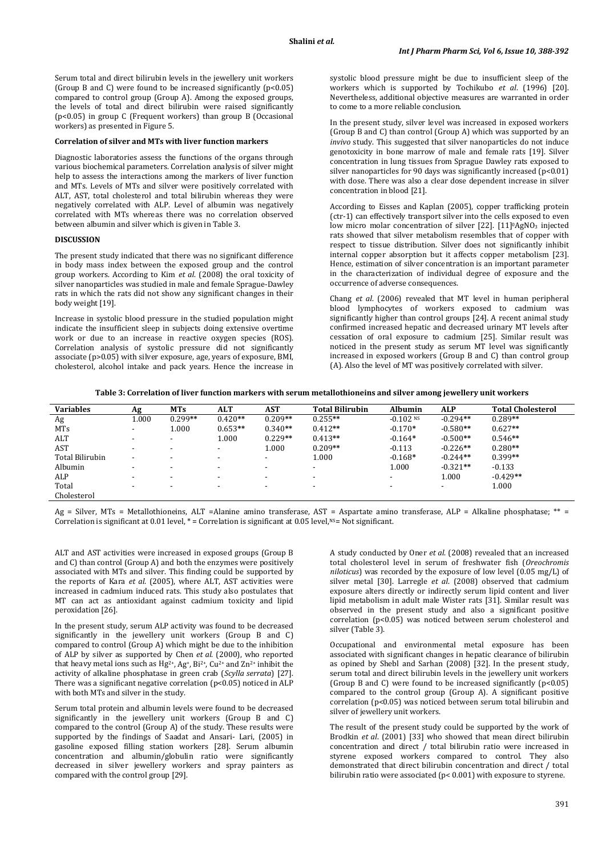Serum total and direct bilirubin levels in the jewellery unit workers (Group B and C) were found to be increased significantly  $(p<0.05)$ compared to control group (Group A). Among the exposed groups, the levels of total and direct bilirubin were raised significantly (p<0.05) in group C (Frequent workers) than group B (Occasional workers) as presented in Figure 5.

## **Correlation of silver and MTs with liver function markers**

Diagnostic laboratories assess the functions of the organs through various biochemical parameters. Correlation analysis of silver might help to assess the interactions among the markers of liver function and MTs. Levels of MTs and silver were positively correlated with ALT, AST, total cholesterol and total bilirubin whereas they were negatively correlated with ALP. Level of albumin was negatively correlated with MTs whereas there was no correlation observed between albumin and silver which is given in Table 3.

# **DISCUSSION**

The present study indicated that there was no significant difference in body mass index between the exposed group and the control group workers. According to Kim *et al*. (2008) the oral toxicity of silver nanoparticles was studied in male and female Sprague-Dawley rats in which the rats did not show any significant changes in their body weight [19].

Increase in systolic blood pressure in the studied population might indicate the insufficient sleep in subjects doing extensive overtime work or due to an increase in reactive oxygen species (ROS). Correlation analysis of systolic pressure did not significantly associate (p>0.05) with silver exposure, age, years of exposure, BMI, cholesterol, alcohol intake and pack years. Hence the increase in

systolic blood pressure might be due to insufficient sleep of the workers which is supported by Tochikubo *et al*. (1996) [20]. Nevertheless, additional objective measures are warranted in order to come to a more reliable conclusion.

In the present study, silver level was increased in exposed workers (Group B and C) than control (Group A) which was supported by an *invivo* study. This suggested that silver nanoparticles do not induce genotoxicity in bone marrow of male and female rats [19]. Silver concentration in lung tissues from Sprague Dawley rats exposed to silver nanoparticles for 90 days was significantly increased  $(p<0.01)$ with dose. There was also a clear dose dependent increase in silver concentration in blood [21].

According to Eisses and Kaplan (2005), copper trafficking protein (ctr-1) can effectively transport silver into the cells exposed to even low micro molar concentration of silver [22]. [11]<sup>0</sup>AgNO<sub>3</sub> injected rats showed that silver metabolism resembles that of copper with respect to tissue distribution. Silver does not significantly inhibit internal copper absorption but it affects copper metabolism [23]. Hence, estimation of silver concentration is an important parameter in the characterization of individual degree of exposure and the occurrence of adverse consequences.

Chang *et al*. (2006) revealed that MT level in human peripheral blood lymphocytes of workers exposed to cadmium was significantly higher than control groups [24]. A recent animal study confirmed increased hepatic and decreased urinary MT levels after cessation of oral exposure to cadmium [25]. Similar result was noticed in the present study as serum MT level was significantly increased in exposed workers (Group B and C) than control group (A). Also the level of MT was positively correlated with silver.

| <b>Variables</b>       | Αg                       | <b>MTs</b>               | <b>ALT</b> | <b>AST</b>               | <b>Total Bilirubin</b>   | <b>Albumin</b>           | <b>ALP</b>               | <b>Total Cholesterol</b> |
|------------------------|--------------------------|--------------------------|------------|--------------------------|--------------------------|--------------------------|--------------------------|--------------------------|
| Ag                     | 1.000                    | $0.299**$                | $0.420**$  | $0.209**$                | $0.255**$                | $-0.102$ <sup>NS</sup>   | $-0.294**$               | $0.289**$                |
| <b>MTs</b>             |                          | 1.000                    | $0.653**$  | $0.340**$                | $0.412**$                | $-0.170*$                | $-0.580**$               | $0.627**$                |
| ALT                    | $\overline{\phantom{a}}$ | $\overline{\phantom{0}}$ | 1.000      | $0.229**$                | $0.413**$                | $-0.164*$                | $-0.500**$               | $0.546**$                |
| AST                    | $\overline{\phantom{a}}$ | -                        | -          | 1.000                    | $0.209**$                | $-0.113$                 | $-0.226**$               | $0.280**$                |
| <b>Total Bilirubin</b> | $\overline{\phantom{a}}$ | $\,$                     |            | $\overline{\phantom{a}}$ | 1.000                    | $-0.168*$                | $-0.244**$               | $0.399**$                |
| Albumin                | $\overline{\phantom{0}}$ | $\,$                     | -          | $\overline{\phantom{0}}$ | $\overline{\phantom{a}}$ | 1.000                    | $-0.321**$               | $-0.133$                 |
| ALP                    | $\overline{\phantom{a}}$ | -                        |            | $\overline{\phantom{0}}$ | $\overline{\phantom{a}}$ | $\overline{\phantom{0}}$ | 1.000                    | $-0.429**$               |
| Total                  | $\overline{\phantom{a}}$ | -                        |            |                          | -                        | -                        | $\overline{\phantom{a}}$ | 1.000                    |
| Cholesterol            |                          |                          |            |                          |                          |                          |                          |                          |

Ag = Silver, MTs = Metallothioneins, ALT =Alanine amino transferase, AST = Aspartate amino transferase, ALP = Alkaline phosphatase; \*\* = Correlation is significant at 0.01 level, \* = Correlation is significant at 0.05 level, NS= Not significant.

ALT and AST activities were increased in exposed groups (Group B and C) than control (Group A) and both the enzymes were positively associated with MTs and silver. This finding could be supported by the reports of Kara *et al*. (2005), where ALT, AST activities were increased in cadmium induced rats. This study also postulates that MT can act as antioxidant against cadmium toxicity and lipid peroxidation [26].

In the present study, serum ALP activity was found to be decreased significantly in the jewellery unit workers (Group B and C) compared to control (Group A) which might be due to the inhibition of ALP by silver as supported by Chen *et al*. (2000), who reported that heavy metal ions such as Hg<sup>2+</sup>, Ag<sup>+</sup>, Bi<sup>2+</sup>, Cu<sup>2+</sup> and Zn<sup>2+</sup> inhibit the activity of alkaline phosphatase in green crab (*Scylla serrata*) [27]. There was a significant negative correlation (p<0.05) noticed in ALP with both MTs and silver in the study.

Serum total protein and albumin levels were found to be decreased significantly in the jewellery unit workers (Group B and C) compared to the control (Group A) of the study. These results were supported by the findings of Saadat and Ansari- Lari, (2005) in gasoline exposed filling station workers [28]. Serum albumin concentration and albumin/globulin ratio were significantly decreased in silver jewellery workers and spray painters as compared with the control group [29].

A study conducted by Oner *et al*. (2008) revealed that an increased total cholesterol level in serum of freshwater fish (*Oreochromis niloticus* ) was recorded by the exposure of low level (0.05 mg/L) of silver metal [30]. Larregle *et al*. (2008) observed that cadmium exposure alters directly or indirectly serum lipid content and liver lipid metabolism in adult male Wister rats [31]. Similar result was observed in the present study and also a significant positive correlation (p<0.05) was noticed between serum cholesterol and silver (Table 3).

Occupational and environmental metal exposure has been associated with significant changes in hepatic clearance of bilirubin as opined by Shebl and Sarhan (2008) [32]. In the present study, serum total and direct bilirubin levels in the jewellery unit workers (Group B and C) were found to be increased significantly  $(p<0.05)$ compared to the control group (Group A). A significant positive correlation (p<0.05) was noticed between serum total bilirubin and silver of jewellery unit workers.

The result of the present study could be supported by the work of Brodkin *et al*. (2001) [33] who showed that mean direct bilirubin concentration and direct / total bilirubin ratio were increased in styrene exposed workers compared to control. They also demonstrated that direct bilirubin concentration and direct / total bilirubin ratio were associated (p< 0.001) with exposure to styrene.